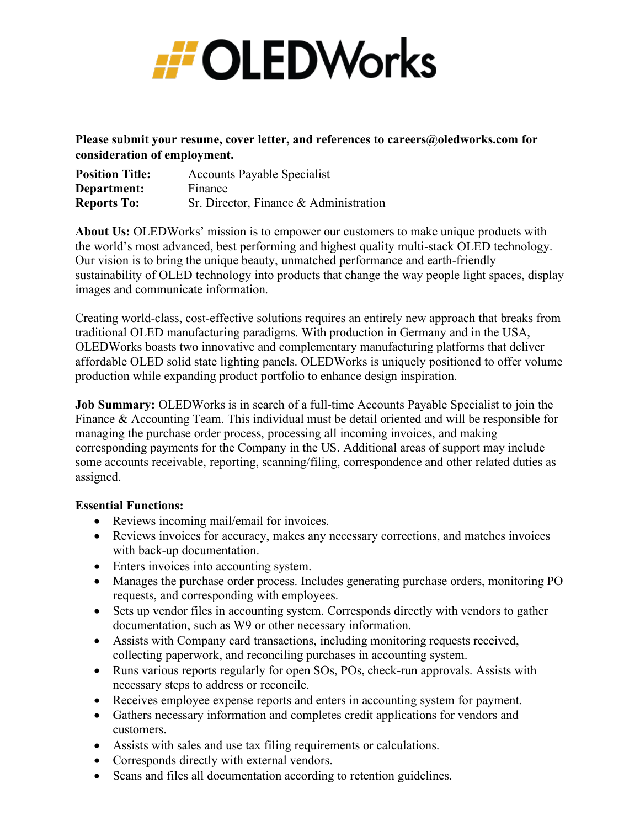

Please submit your resume, cover letter, and references to careers@oledworks.com for **consideration of employment.** 

| <b>Position Title:</b> | <b>Accounts Payable Specialist</b>     |
|------------------------|----------------------------------------|
| Department:            | Finance                                |
| <b>Reports To:</b>     | Sr. Director, Finance & Administration |

**About Us:** OLEDWorks' mission is to empower our customers to make unique products with the world's most advanced, best performing and highest quality multi-stack OLED technology. Our vision is to bring the unique beauty, unmatched performance and earth-friendly sustainability of OLED technology into products that change the way people light spaces, display images and communicate information.

Creating world-class, cost-effective solutions requires an entirely new approach that breaks from traditional OLED manufacturing paradigms. With production in Germany and in the USA, OLEDWorks boasts two innovative and complementary manufacturing platforms that deliver affordable OLED solid state lighting panels. OLEDWorks is uniquely positioned to offer volume production while expanding product portfolio to enhance design inspiration.

**Job Summary:** OLEDWorks is in search of a full-time Accounts Payable Specialist to join the Finance & Accounting Team. This individual must be detail oriented and will be responsible for managing the purchase order process, processing all incoming invoices, and making corresponding payments for the Company in the US. Additional areas of support may include some accounts receivable, reporting, scanning/filing, correspondence and other related duties as assigned.

## **Essential Functions:**

- Reviews incoming mail/email for invoices.
- Reviews invoices for accuracy, makes any necessary corrections, and matches invoices with back-up documentation.
- Enters invoices into accounting system.
- Manages the purchase order process. Includes generating purchase orders, monitoring PO requests, and corresponding with employees.
- Sets up vendor files in accounting system. Corresponds directly with vendors to gather documentation, such as W9 or other necessary information.
- Assists with Company card transactions, including monitoring requests received, collecting paperwork, and reconciling purchases in accounting system.
- Runs various reports regularly for open SOs, POs, check-run approvals. Assists with necessary steps to address or reconcile.
- Receives employee expense reports and enters in accounting system for payment.
- Gathers necessary information and completes credit applications for vendors and customers.
- Assists with sales and use tax filing requirements or calculations.
- Corresponds directly with external vendors.
- Scans and files all documentation according to retention guidelines.